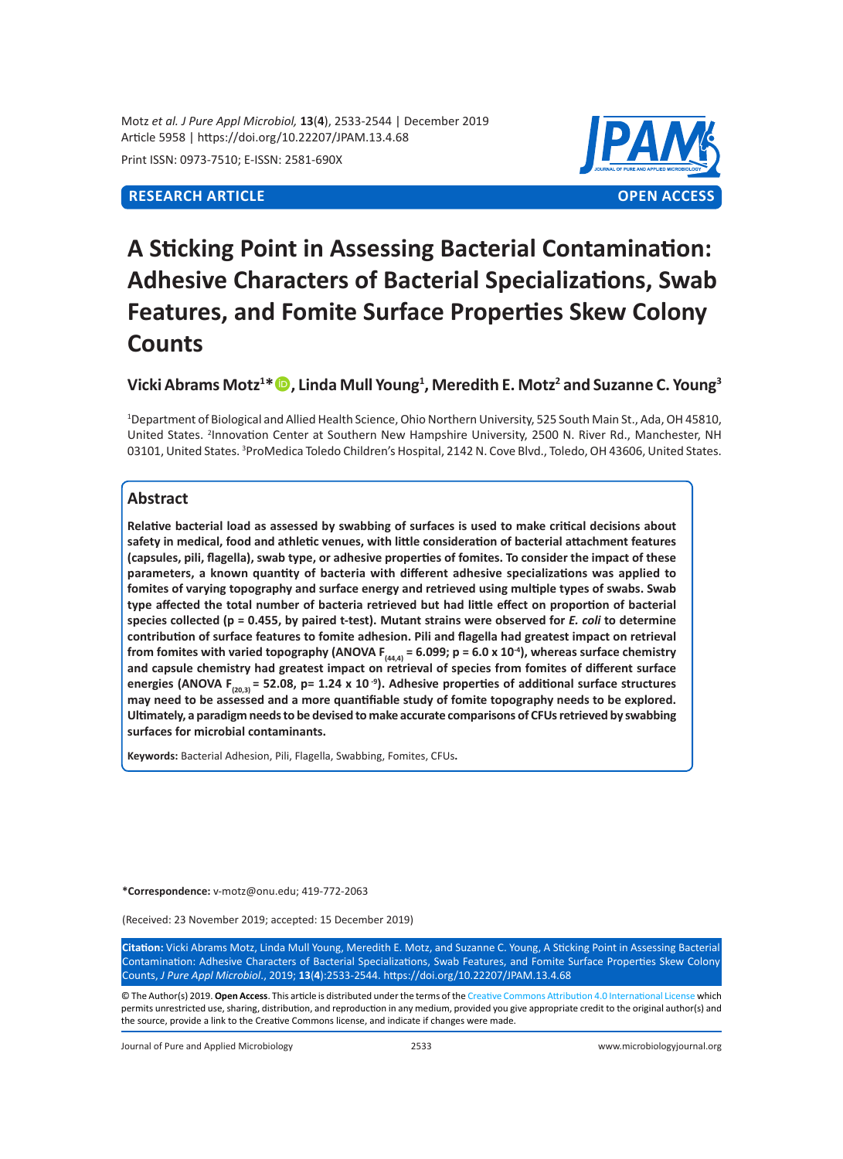Motz *et al. J Pure Appl Microbiol,* **13**(**4**), 2533-2544 | December 2019 Article 5958 | https://doi.org/10.22207/JPAM.13.4.68

Print ISSN: 0973-7510; E-ISSN: 2581-690X

# **RESEARCH ARTICLE OPEN ACCESS**



# **A Sticking Point in Assessing Bacterial Contamination: Adhesive Characters of Bacterial Specializations, Swab Features, and Fomite Surface Properties Skew Colony Counts**

# **Vicki Abrams Motz<sup>1</sup> \*, Linda Mull Young<sup>1</sup> , Meredith E. Motz<sup>2</sup> and Suzanne C. Young<sup>3</sup>**

1 Department of Biological and Allied Health Science, Ohio Northern University, 525 South Main St., Ada, OH 45810, United States. <sup>2</sup>Innovation Center at Southern New Hampshire University, 2500 N. River Rd., Manchester, NH 03101, United States. <sup>3</sup>ProMedica Toledo Children's Hospital, 2142 N. Cove Blvd., Toledo, OH 43606, United States.

# **Abstract**

**Relative bacterial load as assessed by swabbing of surfaces is used to make critical decisions about safety in medical, food and athletic venues, with little consideration of bacterial attachment features (capsules, pili, flagella), swab type, or adhesive properties of fomites. To consider the impact of these parameters, a known quantity of bacteria with different adhesive specializations was applied to fomites of varying topography and surface energy and retrieved using multiple types of swabs. Swab type affected the total number of bacteria retrieved but had little effect on proportion of bacterial species collected (p = 0.455, by paired t-test). Mutant strains were observed for** *E. coli* **to determine contribution of surface features to fomite adhesion. Pili and flagella had greatest impact on retrieval**  from fomites with varied topography (ANOVA  $F_{(44,4)} = 6.099$ ;  $p = 6.0 \times 10^{-4}$ ), whereas surface chemistry **and capsule chemistry had greatest impact on retrieval of species from fomites of different surface**  energies (ANOVA F<sub>(20,3)</sub> = 52.08, p= 1.24 x 10<sup>-9</sup>). Adhesive properties of additional surface structures **may need to be assessed and a more quantifiable study of fomite topography needs to be explored. Ultimately, a paradigm needs to be devised to make accurate comparisons of CFUs retrieved by swabbing surfaces for microbial contaminants.** 

**Keywords:** Bacterial Adhesion, Pili, Flagella, Swabbing, Fomites, CFUs**.**

**\*Correspondence:** v-motz@onu.edu; 419-772-2063

(Received: 23 November 2019; accepted: 15 December 2019)

**Citation:** Vicki Abrams Motz, Linda Mull Young, Meredith E. Motz, and Suzanne C. Young, A Sticking Point in Assessing Bacterial Contamination: Adhesive Characters of Bacterial Specializations, Swab Features, and Fomite Surface Properties Skew Colony Counts, *J Pure Appl Microbiol*., 2019; **13**(**4**):2533-2544. https://doi.org/10.22207/JPAM.13.4.68

© The Author(s) 2019. **Open Access**. This article is distributed under the terms of the [Creative Commons Attribution 4.0 International License](https://creativecommons.org/licenses/by/4.0/) which permits unrestricted use, sharing, distribution, and reproduction in any medium, provided you give appropriate credit to the original author(s) and the source, provide a link to the Creative Commons license, and indicate if changes were made.

Journal of Pure and Applied Microbiology 2533 www.microbiologyjournal.org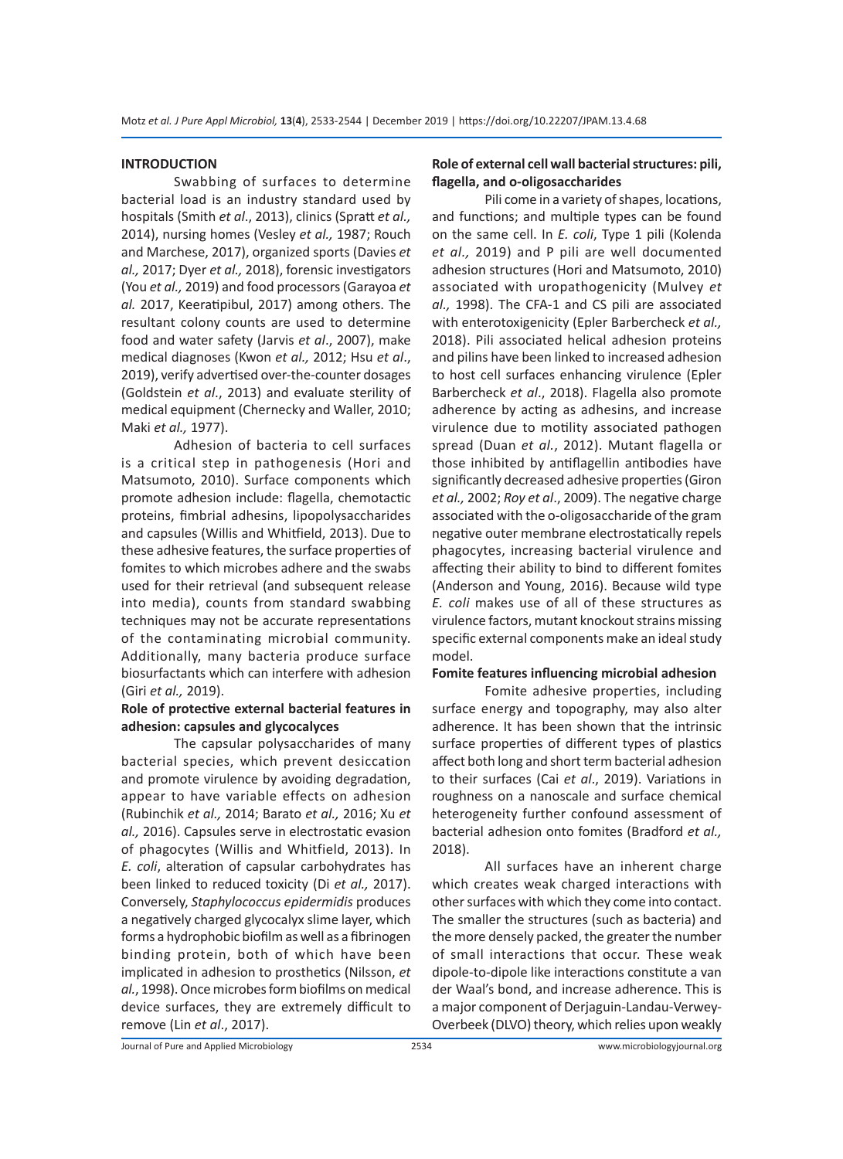#### **INTRODUCTION**

Swabbing of surfaces to determine bacterial load is an industry standard used by hospitals (Smith *et al*., 2013), clinics (Spratt *et al.,* 2014), nursing homes (Vesley *et al.,* 1987; Rouch and Marchese, 2017), organized sports (Davies *et al.,* 2017; Dyer *et al.,* 2018), forensic investigators (You *et al.,* 2019) and food processors (Garayoa *et al.* 2017, Keeratipibul, 2017) among others. The resultant colony counts are used to determine food and water safety (Jarvis *et al*., 2007), make medical diagnoses (Kwon *et al.,* 2012; Hsu *et al*., 2019), verify advertised over-the-counter dosages (Goldstein *et al*., 2013) and evaluate sterility of medical equipment (Chernecky and Waller, 2010; Maki *et al.,* 1977).

Adhesion of bacteria to cell surfaces is a critical step in pathogenesis (Hori and Matsumoto, 2010). Surface components which promote adhesion include: flagella, chemotactic proteins, fimbrial adhesins, lipopolysaccharides and capsules (Willis and Whitfield, 2013). Due to these adhesive features, the surface properties of fomites to which microbes adhere and the swabs used for their retrieval (and subsequent release into media), counts from standard swabbing techniques may not be accurate representations of the contaminating microbial community. Additionally, many bacteria produce surface biosurfactants which can interfere with adhesion (Giri *et al.,* 2019).

# **Role of protective external bacterial features in adhesion: capsules and glycocalyces**

The capsular polysaccharides of many bacterial species, which prevent desiccation and promote virulence by avoiding degradation, appear to have variable effects on adhesion (Rubinchik *et al.,* 2014; Barato *et al.,* 2016; Xu *et al.,* 2016). Capsules serve in electrostatic evasion of phagocytes (Willis and Whitfield, 2013). In *E. coli*, alteration of capsular carbohydrates has been linked to reduced toxicity (Di *et al.,* 2017). Conversely, *Staphylococcus epidermidis* produces a negatively charged glycocalyx slime layer, which forms a hydrophobic biofilm as well as a fibrinogen binding protein, both of which have been implicated in adhesion to prosthetics (Nilsson, *et al.*, 1998). Once microbes form biofilms on medical device surfaces, they are extremely difficult to remove (Lin *et al*., 2017).

# **Role of external cell wall bacterial structures: pili, flagella, and o-oligosaccharides**

Pili come in a variety of shapes, locations, and functions; and multiple types can be found on the same cell. In *E. coli*, Type 1 pili (Kolenda *et al.,* 2019) and P pili are well documented adhesion structures (Hori and Matsumoto, 2010) associated with uropathogenicity (Mulvey *et al.,* 1998). The CFA-1 and CS pili are associated with enterotoxigenicity (Epler Barbercheck *et al.,* 2018). Pili associated helical adhesion proteins and pilins have been linked to increased adhesion to host cell surfaces enhancing virulence (Epler Barbercheck *et al*., 2018). Flagella also promote adherence by acting as adhesins, and increase virulence due to motility associated pathogen spread (Duan *et al.*, 2012). Mutant flagella or those inhibited by antiflagellin antibodies have significantly decreased adhesive properties (Giron *et al.,* 2002; *Roy et al*., 2009). The negative charge associated with the o-oligosaccharide of the gram negative outer membrane electrostatically repels phagocytes, increasing bacterial virulence and affecting their ability to bind to different fomites (Anderson and Young, 2016). Because wild type *E. coli* makes use of all of these structures as virulence factors, mutant knockout strains missing specific external components make an ideal study model.

# **Fomite features influencing microbial adhesion**

Fomite adhesive properties, including surface energy and topography, may also alter adherence. It has been shown that the intrinsic surface properties of different types of plastics affect both long and short term bacterial adhesion to their surfaces (Cai *et al*., 2019). Variations in roughness on a nanoscale and surface chemical heterogeneity further confound assessment of bacterial adhesion onto fomites (Bradford *et al.,* 2018).

All surfaces have an inherent charge which creates weak charged interactions with other surfaces with which they come into contact. The smaller the structures (such as bacteria) and the more densely packed, the greater the number of small interactions that occur. These weak dipole-to-dipole like interactions constitute a van der Waal's bond, and increase adherence. This is a major component of Derjaguin-Landau-Verwey-Overbeek (DLVO) theory, which relies upon weakly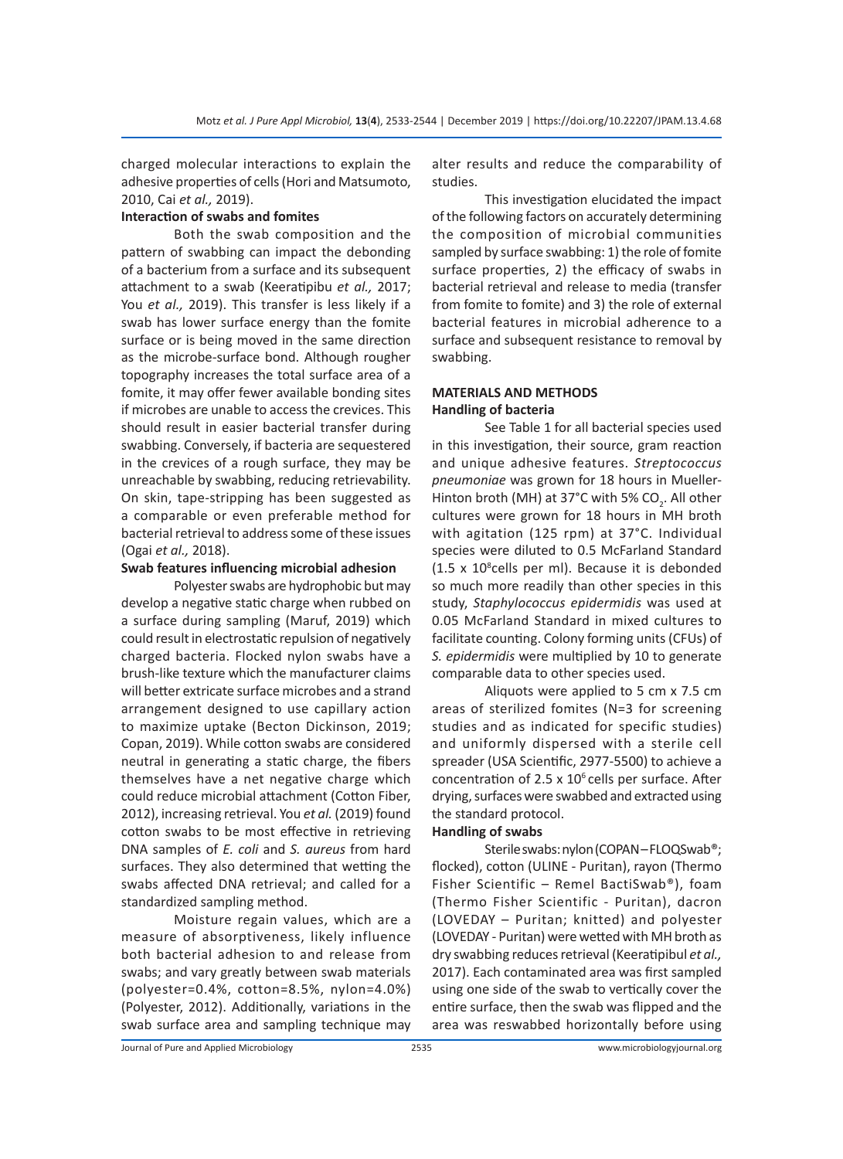charged molecular interactions to explain the adhesive properties of cells (Hori and Matsumoto, 2010, Cai *et al.,* 2019).

#### **Interaction of swabs and fomites**

Both the swab composition and the pattern of swabbing can impact the debonding of a bacterium from a surface and its subsequent attachment to a swab (Keeratipibu *et al.,* 2017; You *et al.,* 2019). This transfer is less likely if a swab has lower surface energy than the fomite surface or is being moved in the same direction as the microbe-surface bond. Although rougher topography increases the total surface area of a fomite, it may offer fewer available bonding sites if microbes are unable to access the crevices. This should result in easier bacterial transfer during swabbing. Conversely, if bacteria are sequestered in the crevices of a rough surface, they may be unreachable by swabbing, reducing retrievability. On skin, tape-stripping has been suggested as a comparable or even preferable method for bacterial retrieval to address some of these issues (Ogai *et al.,* 2018).

#### **Swab features influencing microbial adhesion**

Polyester swabs are hydrophobic but may develop a negative static charge when rubbed on a surface during sampling (Maruf, 2019) which could result in electrostatic repulsion of negatively charged bacteria. Flocked nylon swabs have a brush-like texture which the manufacturer claims will better extricate surface microbes and a strand arrangement designed to use capillary action to maximize uptake (Becton Dickinson, 2019; Copan, 2019). While cotton swabs are considered neutral in generating a static charge, the fibers themselves have a net negative charge which could reduce microbial attachment (Cotton Fiber, 2012), increasing retrieval. You *et al.* (2019) found cotton swabs to be most effective in retrieving DNA samples of *E. coli* and *S. aureus* from hard surfaces. They also determined that wetting the swabs affected DNA retrieval; and called for a standardized sampling method.

Moisture regain values, which are a measure of absorptiveness, likely influence both bacterial adhesion to and release from swabs; and vary greatly between swab materials (polyester=0.4%, cotton=8.5%, nylon=4.0%) (Polyester, 2012). Additionally, variations in the swab surface area and sampling technique may alter results and reduce the comparability of studies.

This investigation elucidated the impact of the following factors on accurately determining the composition of microbial communities sampled by surface swabbing: 1) the role of fomite surface properties, 2) the efficacy of swabs in bacterial retrieval and release to media (transfer from fomite to fomite) and 3) the role of external bacterial features in microbial adherence to a surface and subsequent resistance to removal by swabbing.

# **MATERIALS AND METHODS Handling of bacteria**

See Table 1 for all bacterial species used in this investigation, their source, gram reaction and unique adhesive features. *Streptococcus pneumoniae* was grown for 18 hours in Mueller-Hinton broth (MH) at 37°C with 5% CO<sub>2</sub>. All other cultures were grown for 18 hours in MH broth with agitation (125 rpm) at 37°C. Individual species were diluted to 0.5 McFarland Standard (1.5 x 10<sup>8</sup>cells per ml). Because it is debonded so much more readily than other species in this study, *Staphylococcus epidermidis* was used at 0.05 McFarland Standard in mixed cultures to facilitate counting. Colony forming units (CFUs) of *S. epidermidis* were multiplied by 10 to generate comparable data to other species used.

Aliquots were applied to 5 cm x 7.5 cm areas of sterilized fomites (N=3 for screening studies and as indicated for specific studies) and uniformly dispersed with a sterile cell spreader (USA Scientific, 2977-5500) to achieve a concentration of 2.5  $\times$  10<sup>6</sup> cells per surface. After drying, surfaces were swabbed and extracted using the standard protocol.

#### **Handling of swabs**

Sterile swabs: nylon (COPAN – FLOQSwab®; flocked), cotton (ULINE - Puritan), rayon (Thermo Fisher Scientific – Remel BactiSwab®), foam (Thermo Fisher Scientific - Puritan), dacron (LOVEDAY – Puritan; knitted) and polyester (LOVEDAY - Puritan) were wetted with MH broth as dry swabbing reduces retrieval (Keeratipibul *et al.,* 2017). Each contaminated area was first sampled using one side of the swab to vertically cover the entire surface, then the swab was flipped and the area was reswabbed horizontally before using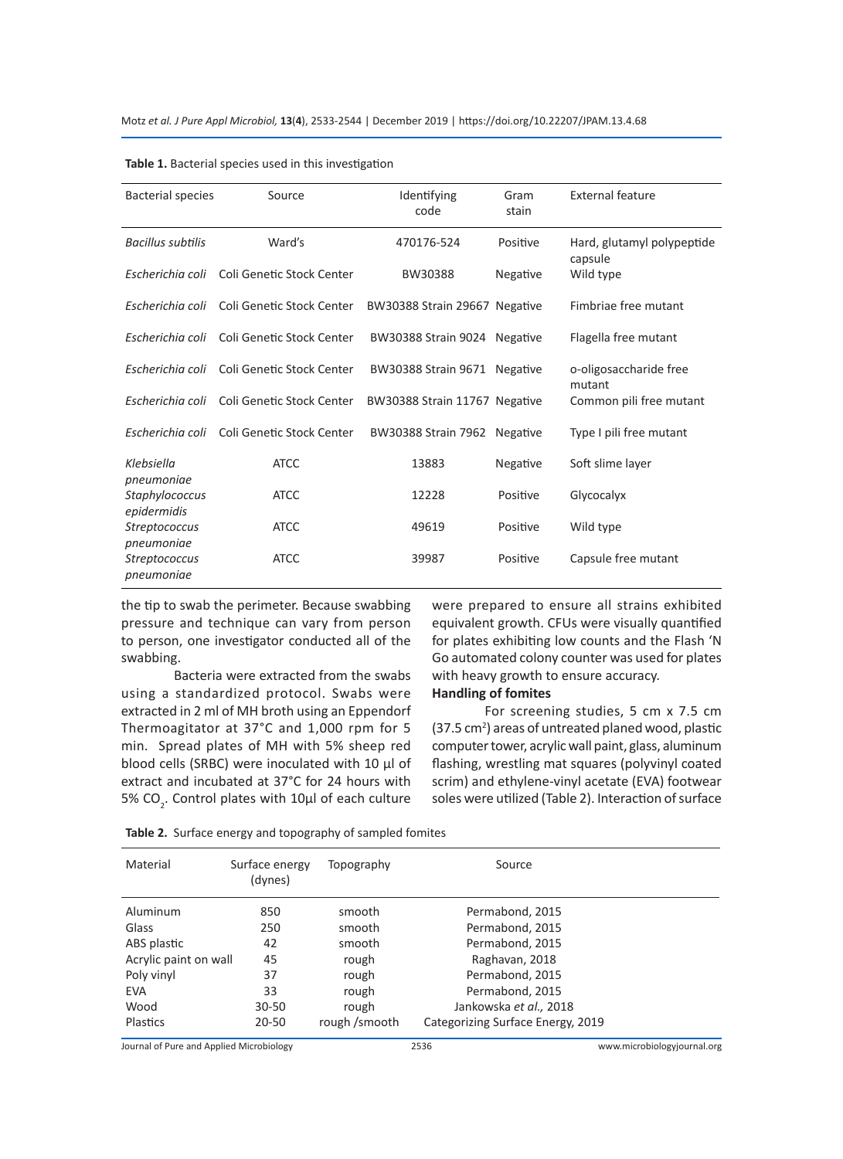| <b>Bacterial species</b>                  | Source                                     | Identifying<br>code           | Gram<br>stain | <b>External feature</b>               |
|-------------------------------------------|--------------------------------------------|-------------------------------|---------------|---------------------------------------|
| <b>Bacillus subtilis</b>                  | Ward's                                     | 470176-524                    | Positive      | Hard, glutamyl polypeptide<br>capsule |
| Escherichia coli                          | Coli Genetic Stock Center                  | BW30388                       | Negative      | Wild type                             |
|                                           | Escherichia coli Coli Genetic Stock Center | BW30388 Strain 29667 Negative |               | Fimbriae free mutant                  |
|                                           | Escherichia coli Coli Genetic Stock Center | BW30388 Strain 9024 Negative  |               | Flagella free mutant                  |
| Escherichia coli                          | Coli Genetic Stock Center                  | BW30388 Strain 9671 Negative  |               | o-oligosaccharide free<br>mutant      |
|                                           | Escherichia coli Coli Genetic Stock Center | BW30388 Strain 11767 Negative |               | Common pili free mutant               |
|                                           | Escherichia coli Coli Genetic Stock Center | BW30388 Strain 7962 Negative  |               | Type I pili free mutant               |
| Klebsiella<br>pneumoniae                  | <b>ATCC</b>                                | 13883                         | Negative      | Soft slime layer                      |
| Staphylococcus<br>epidermidis             | <b>ATCC</b>                                | 12228                         | Positive      | Glycocalyx                            |
| Streptococcus                             | <b>ATCC</b>                                | 49619                         | Positive      | Wild type                             |
| pneumoniae<br>Streptococcus<br>pneumoniae | <b>ATCC</b>                                | 39987                         | Positive      | Capsule free mutant                   |

|  |  |  |  |  | Table 1. Bacterial species used in this investigation |
|--|--|--|--|--|-------------------------------------------------------|
|--|--|--|--|--|-------------------------------------------------------|

the tip to swab the perimeter. Because swabbing pressure and technique can vary from person to person, one investigator conducted all of the swabbing.

Bacteria were extracted from the swabs using a standardized protocol. Swabs were extracted in 2 ml of MH broth using an Eppendorf Thermoagitator at 37°C and 1,000 rpm for 5 min. Spread plates of MH with 5% sheep red blood cells (SRBC) were inoculated with 10 µl of extract and incubated at 37°C for 24 hours with 5%  $CO_2$ . Control plates with 10 $\mu$ l of each culture were prepared to ensure all strains exhibited equivalent growth. CFUs were visually quantified for plates exhibiting low counts and the Flash 'N Go automated colony counter was used for plates with heavy growth to ensure accuracy.

# **Handling of fomites**

For screening studies, 5 cm x 7.5 cm (37.5 cm<sup>2</sup>) areas of untreated planed wood, plastic computer tower, acrylic wall paint, glass, aluminum flashing, wrestling mat squares (polyvinyl coated scrim) and ethylene-vinyl acetate (EVA) footwear soles were utilized (Table 2). Interaction of surface

| Material              | Surface energy<br>(dynes) | Topography    | Source                            |  |
|-----------------------|---------------------------|---------------|-----------------------------------|--|
| Aluminum              | 850                       | smooth        | Permabond, 2015                   |  |
| Glass                 | 250                       | smooth        | Permabond, 2015                   |  |
| ABS plastic           | 42                        | smooth        | Permabond, 2015                   |  |
| Acrylic paint on wall | 45                        | rough         | Raghavan, 2018                    |  |
| Poly vinyl            | 37                        | rough         | Permabond, 2015                   |  |
| <b>EVA</b>            | 33                        | rough         | Permabond, 2015                   |  |
| Wood                  | $30 - 50$                 | rough         | Jankowska et al., 2018            |  |
| <b>Plastics</b>       | $20 - 50$                 | rough /smooth | Categorizing Surface Energy, 2019 |  |

**Table 2.** Surface energy and topography of sampled fomites

Journal of Pure and Applied Microbiology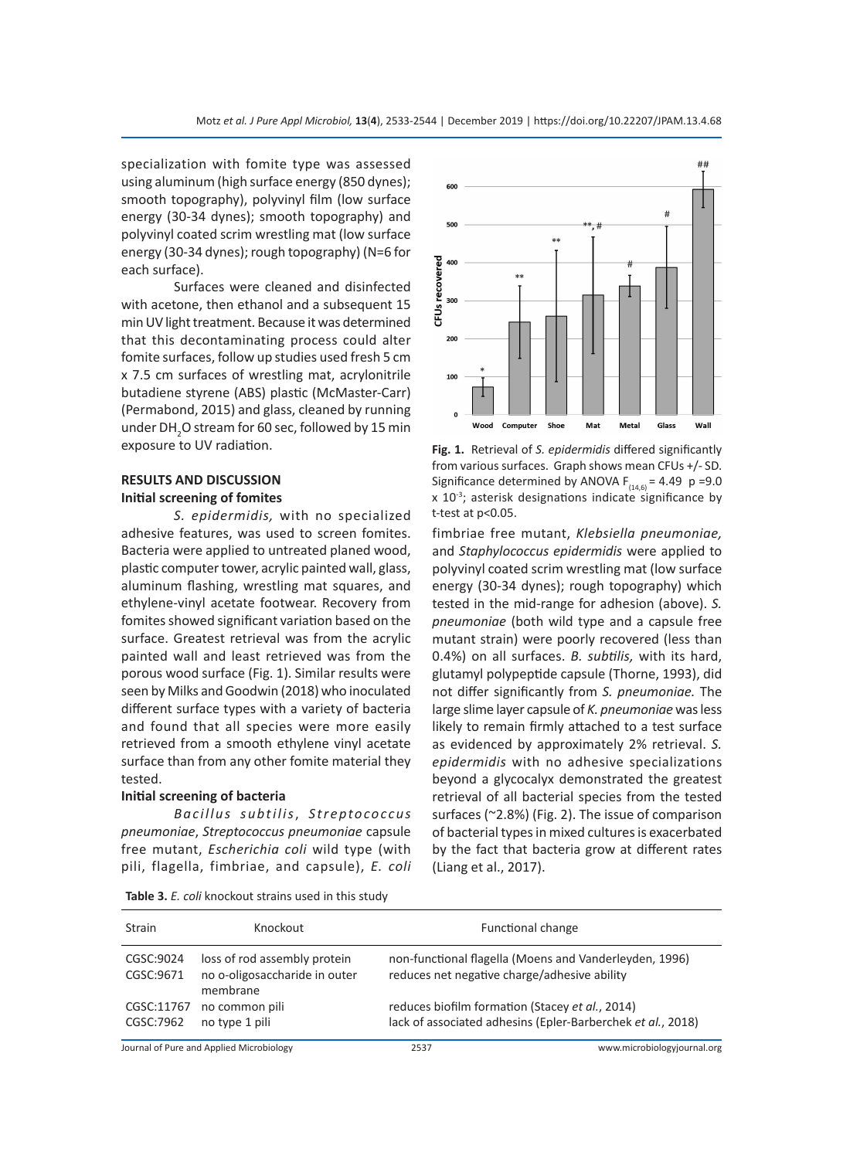specialization with fomite type was assessed using aluminum (high surface energy (850 dynes); smooth topography), polyvinyl film (low surface energy (30-34 dynes); smooth topography) and polyvinyl coated scrim wrestling mat (low surface energy (30-34 dynes); rough topography) (N=6 for each surface).

Surfaces were cleaned and disinfected with acetone, then ethanol and a subsequent 15 min UV light treatment. Because it was determined that this decontaminating process could alter fomite surfaces, follow up studies used fresh 5 cm x 7.5 cm surfaces of wrestling mat, acrylonitrile butadiene styrene (ABS) plastic (McMaster-Carr) (Permabond, 2015) and glass, cleaned by running under DH<sub>2</sub>O stream for 60 sec, followed by 15 min exposure to UV radiation.

# **RESULTS AND DISCUSSION Initial screening of fomites**

*S. epidermidis,* with no specialized adhesive features, was used to screen fomites. Bacteria were applied to untreated planed wood, plastic computer tower, acrylic painted wall, glass, aluminum flashing, wrestling mat squares, and ethylene-vinyl acetate footwear. Recovery from fomites showed significant variation based on the surface. Greatest retrieval was from the acrylic painted wall and least retrieved was from the porous wood surface (Fig. 1). Similar results were seen by Milks and Goodwin (2018) who inoculated different surface types with a variety of bacteria and found that all species were more easily retrieved from a smooth ethylene vinyl acetate surface than from any other fomite material they tested.

## **Initial screening of bacteria**

*Bacillus subtilis*, *S t r e pto co cc u s pneumoniae*, *Streptococcus pneumoniae* capsule free mutant, *Escherichia coli* wild type (with pili, flagella, fimbriae, and capsule), *E. coli*



**Fig. 1.** Retrieval of *S. epidermidis* differed significantly from various surfaces. Graph shows mean CFUs +/- SD. Significance determined by ANOVA  $F_{(14,6)} = 4.49$  p =9.0  $x$  10 $3$ ; asterisk designations indicate significance by t-test at p<0.05.

fimbriae free mutant, *Klebsiella pneumoniae,* and *Staphylococcus epidermidis* were applied to polyvinyl coated scrim wrestling mat (low surface energy (30-34 dynes); rough topography) which tested in the mid-range for adhesion (above). *S. pneumoniae* (both wild type and a capsule free mutant strain) were poorly recovered (less than 0.4%) on all surfaces. *B. subtilis,* with its hard, glutamyl polypeptide capsule (Thorne, 1993), did not differ significantly from *S. pneumoniae.* The large slime layer capsule of *K. pneumoniae* was less likely to remain firmly attached to a test surface as evidenced by approximately 2% retrieval. *S. epidermidis* with no adhesive specializations beyond a glycocalyx demonstrated the greatest retrieval of all bacterial species from the tested surfaces (~2.8%) (Fig. 2). The issue of comparison of bacterial types in mixed cultures is exacerbated by the fact that bacteria grow at different rates (Liang et al., 2017).

| <b>Strain</b>           | Knockout                                                                  |                                                                                                                | Functional change                                      |
|-------------------------|---------------------------------------------------------------------------|----------------------------------------------------------------------------------------------------------------|--------------------------------------------------------|
| CGSC:9024<br>CGSC:9671  | loss of rod assembly protein<br>no o-oligosaccharide in outer<br>membrane | reduces net negative charge/adhesive ability                                                                   | non-functional flagella (Moens and Vanderleyden, 1996) |
| CGSC:11767<br>CGSC:7962 | no common pili<br>no type 1 pili                                          | reduces biofilm formation (Stacey et al., 2014)<br>lack of associated adhesins (Epler-Barberchek et al., 2018) |                                                        |
|                         | Journal of Pure and Applied Microbiology                                  | 2537                                                                                                           | www.microbiologyjournal.org                            |

**Table 3.** *E. coli* knockout strains used in this study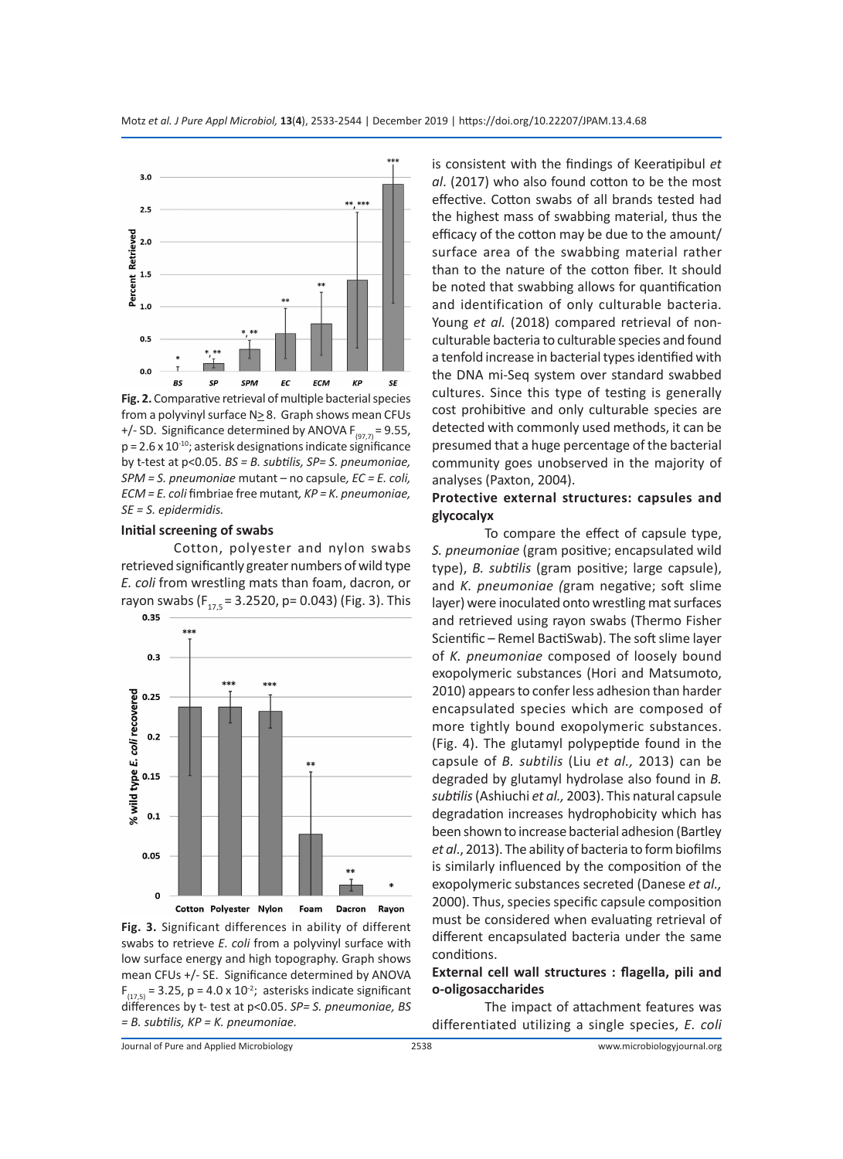

**Fig. 2.** Comparative retrieval of multiple bacterial species from a polyvinyl surface  $N \geq 8$ . Graph shows mean CFUs +/- SD. Significance determined by ANOVA  $F_{(97,7)} = 9.55$ ,  $p = 2.6 \times 10^{-10}$ ; asterisk designations indicate significance by t-test at p<0.05. *BS = B. subtilis, SP= S. pneumoniae, SPM = S. pneumoniae* mutant *–* no capsule*, EC = E. coli, ECM = E. coli* fimbriae free mutant*, KP = K. pneumoniae, SE = S. epidermidis.*

#### **Initial screening of swabs**

Cotton, polyester and nylon swabs retrieved significantly greater numbers of wild type *E. coli* from wrestling mats than foam, dacron, or rayon swabs  $(F_{17,5} = 3.2520, p = 0.043)$  (Fig. 3). This 0.35



**Fig. 3.** Significant differences in ability of different swabs to retrieve *E. coli* from a polyvinyl surface with low surface energy and high topography. Graph shows mean CFUs +/- SE. Significance determined by ANOVA  $F_{(17,5)}$  = 3.25, p = 4.0 x 10<sup>-2</sup>; asterisks indicate significant differences by t- test at p<0.05. *SP= S. pneumoniae, BS = B. subtilis, KP = K. pneumoniae.*

is consistent with the findings of Keeratipibul *et al*. (2017) who also found cotton to be the most effective. Cotton swabs of all brands tested had the highest mass of swabbing material, thus the efficacy of the cotton may be due to the amount/ surface area of the swabbing material rather than to the nature of the cotton fiber. It should be noted that swabbing allows for quantification and identification of only culturable bacteria. Young *et al.* (2018) compared retrieval of nonculturable bacteria to culturable species and found a tenfold increase in bacterial types identified with the DNA mi-Seq system over standard swabbed cultures. Since this type of testing is generally cost prohibitive and only culturable species are detected with commonly used methods, it can be presumed that a huge percentage of the bacterial community goes unobserved in the majority of analyses (Paxton, 2004).

# **Protective external structures: capsules and glycocalyx**

To compare the effect of capsule type, *S. pneumoniae* (gram positive; encapsulated wild type), *B. subtilis* (gram positive; large capsule), and *K. pneumoniae (*gram negative; soft slime layer) were inoculated onto wrestling mat surfaces and retrieved using rayon swabs (Thermo Fisher Scientific – Remel BactiSwab). The soft slime layer of *K. pneumoniae* composed of loosely bound exopolymeric substances (Hori and Matsumoto, 2010) appears to confer less adhesion than harder encapsulated species which are composed of more tightly bound exopolymeric substances. (Fig. 4). The glutamyl polypeptide found in the capsule of *B. subtilis* (Liu *et al.,* 2013) can be degraded by glutamyl hydrolase also found in *B. subtilis* (Ashiuchi *et al.,* 2003). This natural capsule degradation increases hydrophobicity which has been shown to increase bacterial adhesion (Bartley *et al*., 2013). The ability of bacteria to form biofilms is similarly influenced by the composition of the exopolymeric substances secreted (Danese *et al.,* 2000). Thus, species specific capsule composition must be considered when evaluating retrieval of different encapsulated bacteria under the same conditions.

## **External cell wall structures : flagella, pili and o-oligosaccharides**

The impact of attachment features was differentiated utilizing a single species, *E. coli*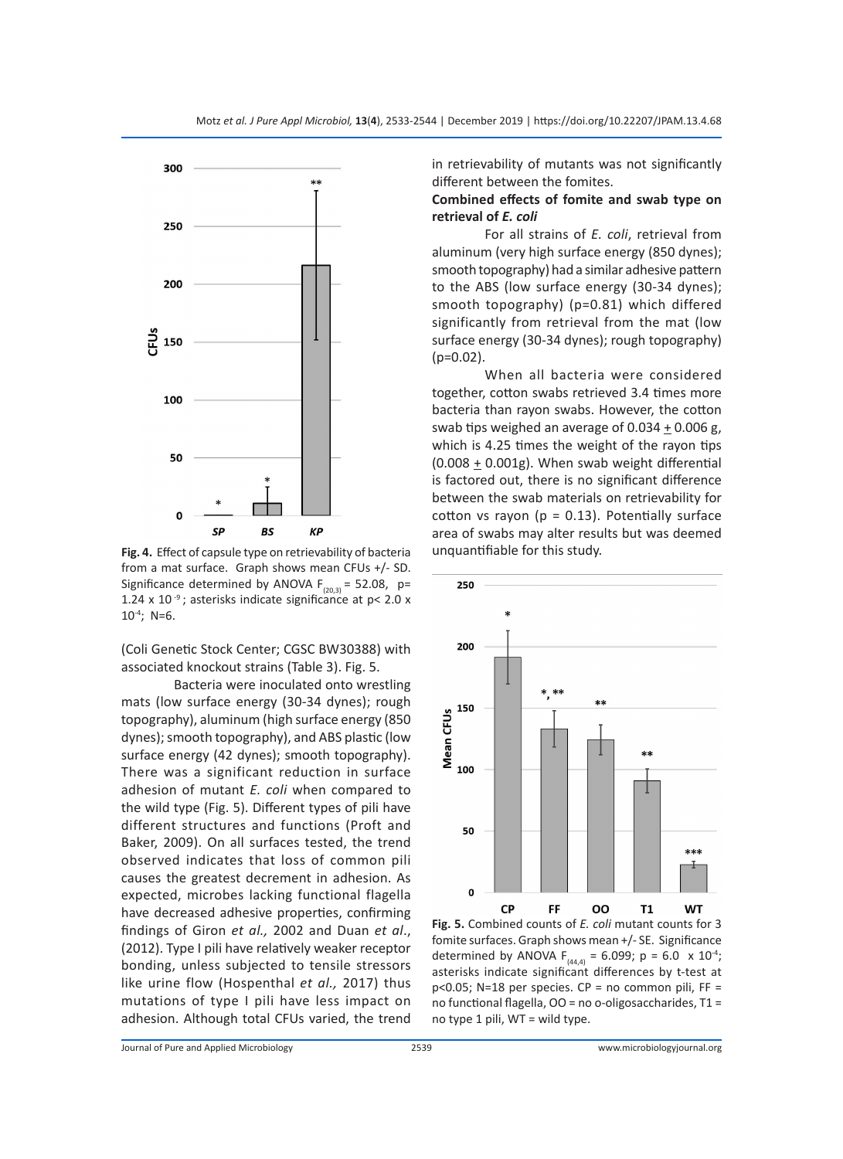

**Fig. 4.** Effect of capsule type on retrievability of bacteria from a mat surface. Graph shows mean CFUs +/- SD. Significance determined by ANOVA  $F_{(20,3)} = 52.08$ , p= 1.24 x 10 $^{-9}$ ; asterisks indicate significance at p< 2.0 x 10-4; N=6.

(Coli Genetic Stock Center; CGSC BW30388) with associated knockout strains (Table 3). Fig. 5.

Bacteria were inoculated onto wrestling mats (low surface energy (30-34 dynes); rough topography), aluminum (high surface energy (850 dynes); smooth topography), and ABS plastic (low surface energy (42 dynes); smooth topography). There was a significant reduction in surface adhesion of mutant *E. coli* when compared to the wild type (Fig. 5). Different types of pili have different structures and functions (Proft and Baker, 2009). On all surfaces tested, the trend observed indicates that loss of common pili causes the greatest decrement in adhesion. As expected, microbes lacking functional flagella have decreased adhesive properties, confirming findings of Giron *et al.,* 2002 and Duan *et al*., (2012). Type I pili have relatively weaker receptor bonding, unless subjected to tensile stressors like urine flow (Hospenthal *et al.,* 2017) thus mutations of type I pili have less impact on adhesion. Although total CFUs varied, the trend

in retrievability of mutants was not significantly different between the fomites.

#### **Combined effects of fomite and swab type on retrieval of** *E. coli*

For all strains of *E. coli*, retrieval from aluminum (very high surface energy (850 dynes); smooth topography) had a similar adhesive pattern to the ABS (low surface energy (30-34 dynes); smooth topography) (p=0.81) which differed significantly from retrieval from the mat (low surface energy (30-34 dynes); rough topography) (p=0.02).

When all bacteria were considered together, cotton swabs retrieved 3.4 times more bacteria than rayon swabs. However, the cotton swab tips weighed an average of 0.034  $\pm$  0.006 g, which is 4.25 times the weight of the rayon tips (0.008 + 0.001g). When swab weight differential is factored out, there is no significant difference between the swab materials on retrievability for cotton vs rayon ( $p = 0.13$ ). Potentially surface area of swabs may alter results but was deemed unquantifiable for this study.



**Fig. 5.** Combined counts of *E. coli* mutant counts for 3 fomite surfaces. Graph shows mean +/- SE. Significance determined by ANOVA  $F_{(44,4)} = 6.099$ ; p = 6.0 x 10<sup>-4</sup>; asterisks indicate significant differences by t-test at p<0.05; N=18 per species. CP = no common pili, FF = no functional flagella, OO = no o-oligosaccharides, T1 = no type 1 pili, WT = wild type.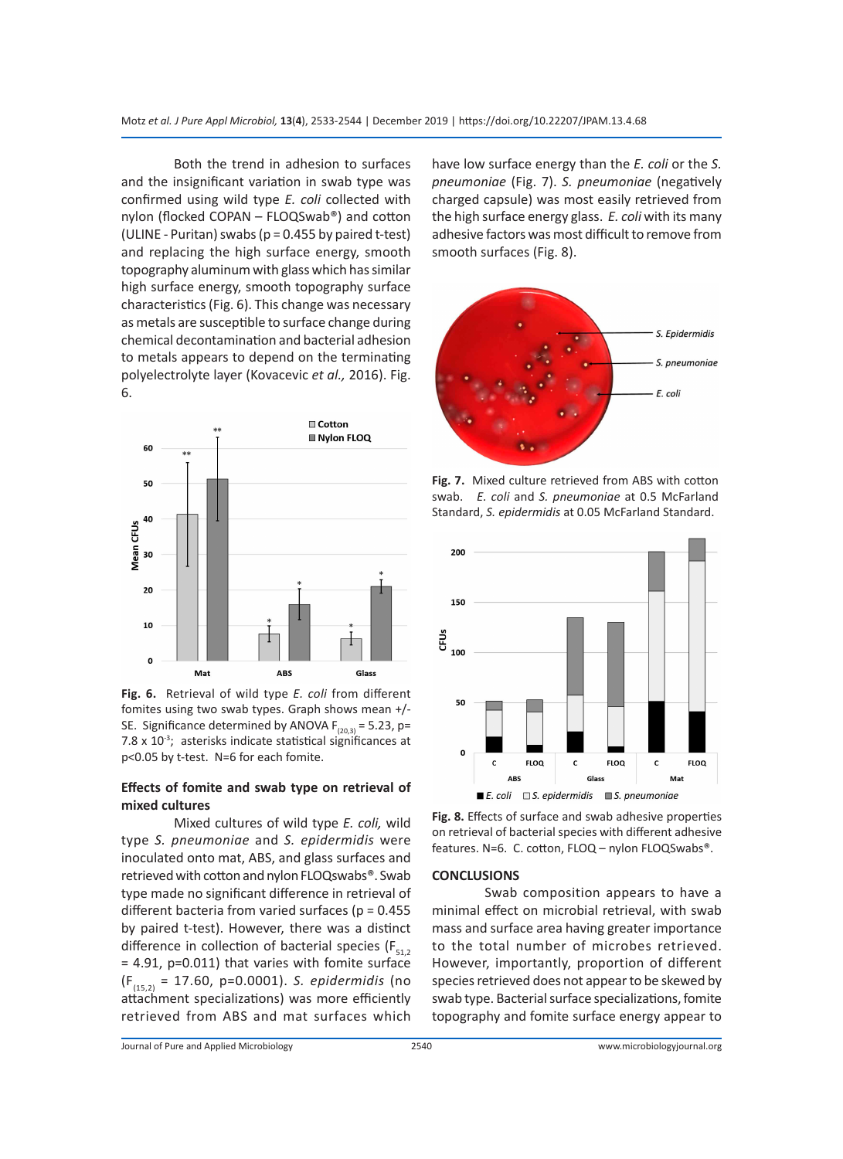Motz *et al. J Pure Appl Microbiol,* **13**(**4**), 2533-2544 | December 2019 | https://doi.org/10.22207/JPAM.13.4.68

Both the trend in adhesion to surfaces and the insignificant variation in swab type was confirmed using wild type *E. coli* collected with nylon (flocked COPAN – FLOQSwab®) and cotton (ULINE - Puritan) swabs (p = 0.455 by paired t-test) and replacing the high surface energy, smooth topography aluminum with glass which has similar high surface energy, smooth topography surface characteristics (Fig. 6). This change was necessary as metals are susceptible to surface change during chemical decontamination and bacterial adhesion to metals appears to depend on the terminating polyelectrolyte layer (Kovacevic *et al.,* 2016). Fig. 6.



**Fig. 6.** Retrieval of wild type *E. coli* from different fomites using two swab types. Graph shows mean +/- SE. Significance determined by ANOVA  $F_{(20,3)} = 5.23$ , p= 7.8  $\times$  10<sup>-3</sup>; asterisks indicate statistical significances at p<0.05 by t-test. N=6 for each fomite.

# **Effects of fomite and swab type on retrieval of mixed cultures**

Mixed cultures of wild type *E. coli,* wild type *S. pneumoniae* and *S. epidermidis* were inoculated onto mat, ABS, and glass surfaces and retrieved with cotton and nylon FLOQswabs®. Swab type made no significant difference in retrieval of different bacteria from varied surfaces ( $p = 0.455$ by paired t-test). However, there was a distinct difference in collection of bacterial species ( $F_{51,2}$ ) = 4.91, p=0.011) that varies with fomite surface (F(15,2) = 17.60, p=0.0001). *S. epidermidis* (no attachment specializations) was more efficiently retrieved from ABS and mat surfaces which

have low surface energy than the *E. coli* or the *S. pneumoniae* (Fig. 7). *S. pneumoniae* (negatively charged capsule) was most easily retrieved from the high surface energy glass. *E. coli* with its many adhesive factors was most difficult to remove from smooth surfaces (Fig. 8).



**Fig. 7.** Mixed culture retrieved from ABS with cotton swab. *E. coli* and *S. pneumoniae* at 0.5 McFarland Standard, *S. epidermidis* at 0.05 McFarland Standard.



**Fig. 8.** Effects of surface and swab adhesive properties on retrieval of bacterial species with different adhesive features. N=6. C. cotton, FLOQ – nylon FLOQSwabs®.

#### **CONCLUSIONS**

Swab composition appears to have a minimal effect on microbial retrieval, with swab mass and surface area having greater importance to the total number of microbes retrieved. However, importantly, proportion of different species retrieved does not appear to be skewed by swab type. Bacterial surface specializations, fomite topography and fomite surface energy appear to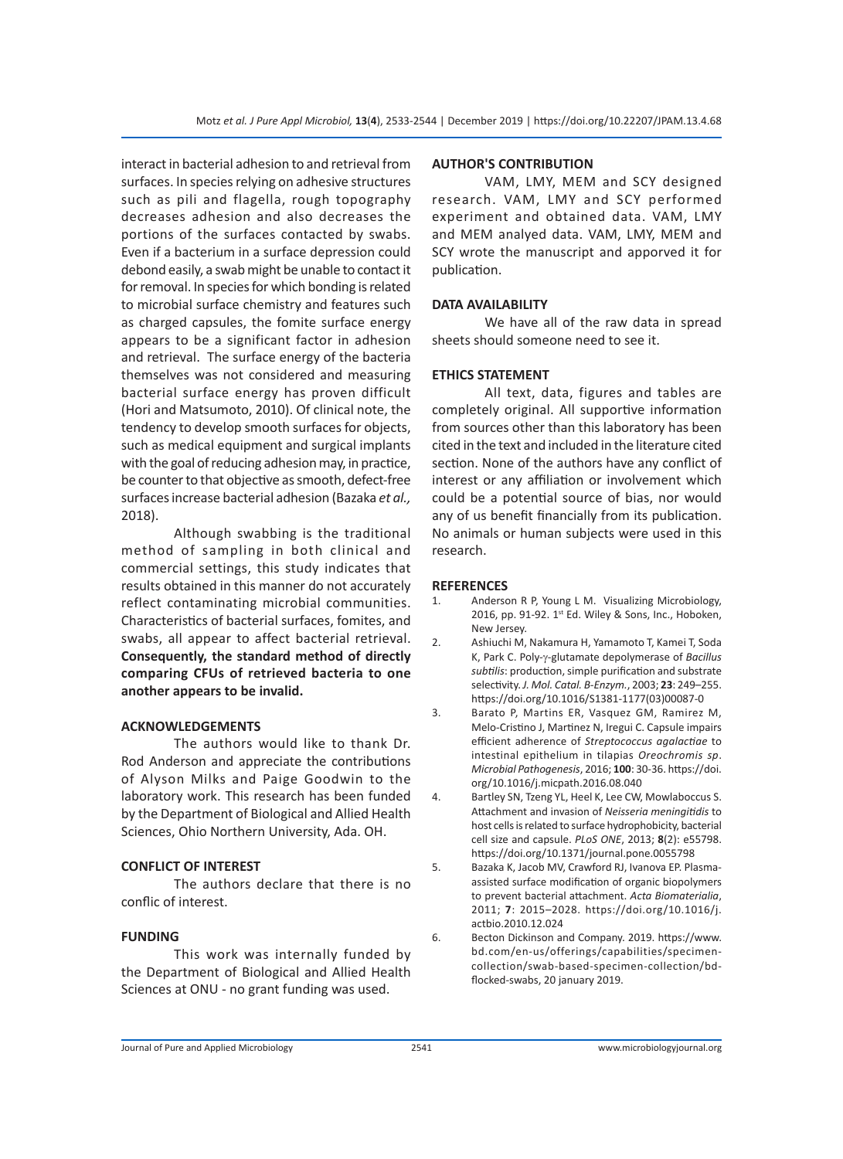interact in bacterial adhesion to and retrieval from surfaces. In species relying on adhesive structures such as pili and flagella, rough topography decreases adhesion and also decreases the portions of the surfaces contacted by swabs. Even if a bacterium in a surface depression could debond easily, a swab might be unable to contact it for removal. In species for which bonding is related to microbial surface chemistry and features such as charged capsules, the fomite surface energy appears to be a significant factor in adhesion and retrieval. The surface energy of the bacteria themselves was not considered and measuring bacterial surface energy has proven difficult (Hori and Matsumoto, 2010). Of clinical note, the tendency to develop smooth surfaces for objects, such as medical equipment and surgical implants with the goal of reducing adhesion may, in practice, be counter to that objective as smooth, defect-free surfaces increase bacterial adhesion (Bazaka *et al.,* 2018).

Although swabbing is the traditional method of sampling in both clinical and commercial settings, this study indicates that results obtained in this manner do not accurately reflect contaminating microbial communities. Characteristics of bacterial surfaces, fomites, and swabs, all appear to affect bacterial retrieval. **Consequently, the standard method of directly comparing CFUs of retrieved bacteria to one another appears to be invalid.**

#### **ACKNOWLEDGEMENTS**

The authors would like to thank Dr. Rod Anderson and appreciate the contributions of Alyson Milks and Paige Goodwin to the laboratory work. This research has been funded by the Department of Biological and Allied Health Sciences, Ohio Northern University, Ada. OH.

#### **CONFLICT OF INTEREST**

The authors declare that there is no conflic of interest.

#### **FUNDING**

This work was internally funded by the Department of Biological and Allied Health Sciences at ONU - no grant funding was used.

#### **AUTHOR'S CONTRIBUTION**

VAM, LMY, MEM and SCY designed research. VAM, LMY and SCY performed experiment and obtained data. VAM, LMY and MEM analyed data. VAM, LMY, MEM and SCY wrote the manuscript and apporved it for publication.

#### **DATA AVAILABILITY**

We have all of the raw data in spread sheets should someone need to see it.

#### **ETHICS STATEMENT**

All text, data, figures and tables are completely original. All supportive information from sources other than this laboratory has been cited in the text and included in the literature cited section. None of the authors have any conflict of interest or any affiliation or involvement which could be a potential source of bias, nor would any of us benefit financially from its publication. No animals or human subjects were used in this research.

#### **REFERENCES**

- 1. Anderson R P, Young L M. Visualizing Microbiology, 2016, pp. 91-92. 1st Ed. Wiley & Sons, Inc., Hoboken, New Jersey.
- 2. Ashiuchi M, Nakamura H, Yamamoto T, Kamei T, Soda K, Park C. Poly-γ-glutamate depolymerase of *Bacillus subtilis*: production, simple purification and substrate selectivity. *J. Mol. Catal. B-Enzym.*, 2003; **23**: 249–255. https://doi.org/10.1016/S1381-1177(03)00087-0
- 3. Barato P, Martins ER, Vasquez GM, Ramirez M, Melo-Cristino J, Martinez N, Iregui C. Capsule impairs efficient adherence of *Streptococcus agalactiae* to intestinal epithelium in tilapias *Oreochromis sp*. *Microbial Pathogenesis*, 2016; **100**: 30-36. https://doi. org/10.1016/j.micpath.2016.08.040
- 4. Bartley SN, Tzeng YL, Heel K, Lee CW, Mowlaboccus S. Attachment and invasion of *Neisseria meningitidis* to host cells is related to surface hydrophobicity, bacterial cell size and capsule. *PLoS ONE*, 2013; **8**(2): e55798. https://doi.org/10.1371/journal.pone.0055798
- 5. Bazaka K, Jacob MV, Crawford RJ, Ivanova EP. Plasmaassisted surface modification of organic biopolymers to prevent bacterial attachment. *Acta Biomaterialia*, 2011; **7**: 2015–2028. https://doi.org/10.1016/j. actbio.2010.12.024
- 6. Becton Dickinson and Company. 2019. https://www. bd.com/en-us/offerings/capabilities/specimencollection/swab-based-specimen-collection/bdflocked-swabs, 20 january 2019.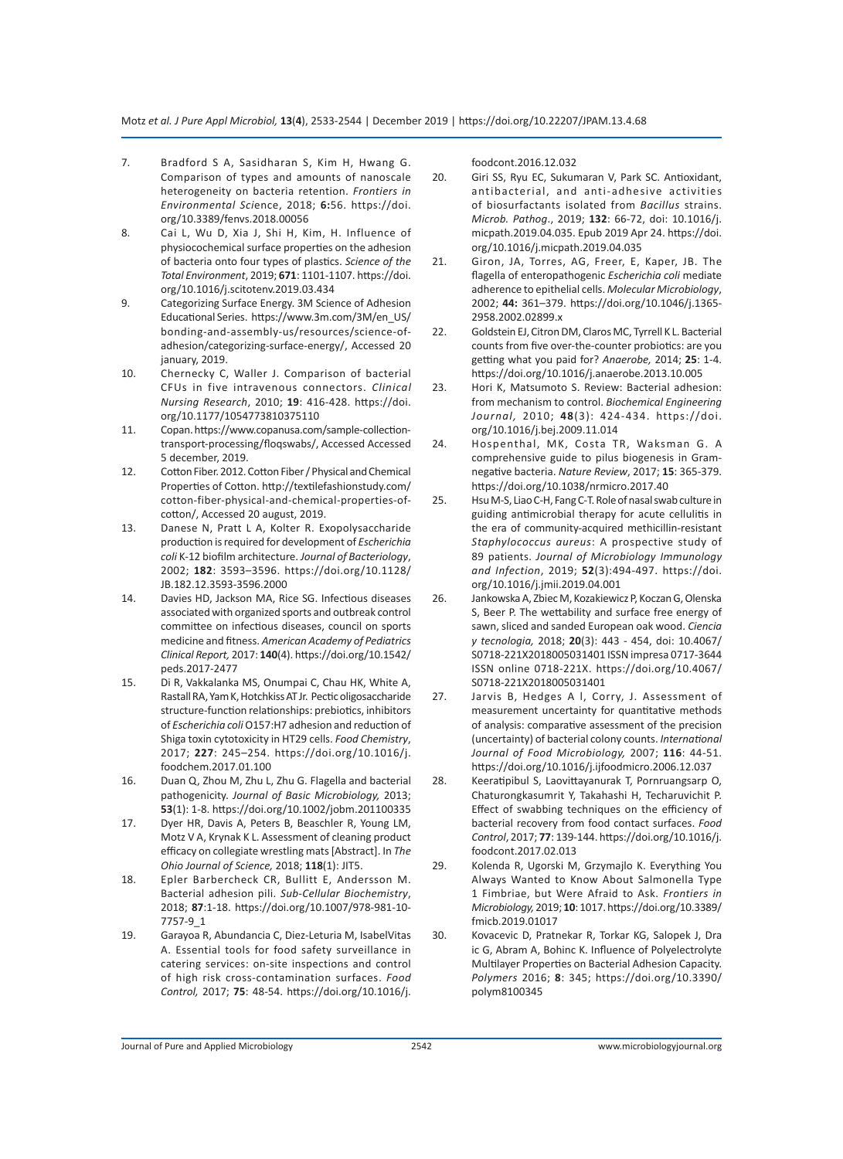- 7. Bradford S A, Sasidharan S, Kim H, Hwang G. Comparison of types and amounts of nanoscale heterogeneity on bacteria retention. *Frontiers in Environmental Sci*ence, 2018; **6:**56. https://doi. org/10.3389/fenvs.2018.00056
- 8. Cai L, Wu D, Xia J, Shi H, Kim, H. Influence of physiocochemical surface properties on the adhesion of bacteria onto four types of plastics. *Science of the Total Environment*, 2019; **671**: 1101-1107. https://doi. org/10.1016/j.scitotenv.2019.03.434
- 9. Categorizing Surface Energy. 3M Science of Adhesion Educational Series. https://www.3m.com/3M/en\_US/ bonding-and-assembly-us/resources/science-ofadhesion/categorizing-surface-energy/, Accessed 20 january, 2019.
- 10. Chernecky C, Waller J. Comparison of bacterial CFUs in five intravenous connectors. *Clinical Nursing Research*, 2010; **19**: 416-428. https://doi. org/10.1177/1054773810375110
- 11. Copan. https://www.copanusa.com/sample-collectiontransport-processing/floqswabs/, Accessed Accessed 5 december, 2019.
- 12. Cotton Fiber. 2012. Cotton Fiber / Physical and Chemical Properties of Cotton. http://textilefashionstudy.com/ cotton-fiber-physical-and-chemical-properties-ofcotton/, Accessed 20 august, 2019.
- 13. Danese N, Pratt L A, Kolter R. Exopolysaccharide production is required for development of *Escherichia coli* K-12 biofilm architecture. *Journal of Bacteriology*, 2002; **182**: 3593–3596. https://doi.org/10.1128/ JB.182.12.3593-3596.2000
- 14. Davies HD, Jackson MA, Rice SG. Infectious diseases associated with organized sports and outbreak control committee on infectious diseases, council on sports medicine and fitness. *American Academy of Pediatrics Clinical Report,* 2017: **140**(4). https://doi.org/10.1542/ peds.2017-2477
- 15. Di R, Vakkalanka MS, Onumpai C, Chau HK, White A, Rastall RA, Yam K, Hotchkiss AT Jr. Pectic oligosaccharide structure-function relationships: prebiotics, inhibitors of *Escherichia coli* O157:H7 adhesion and reduction of Shiga toxin cytotoxicity in HT29 cells. *Food Chemistry*, 2017; **227**: 245–254. https://doi.org/10.1016/j. foodchem.2017.01.100
- 16. Duan Q, Zhou M, Zhu L, Zhu G. Flagella and bacterial pathogenicity. *Journal of Basic Microbiology,* 2013; **53**(1): 1-8. https://doi.org/10.1002/jobm.201100335
- 17. Dyer HR, Davis A, Peters B, Beaschler R, Young LM, Motz V A, Krynak K L. Assessment of cleaning product efficacy on collegiate wrestling mats [Abstract]. In *The Ohio Journal of Science,* 2018; **118**(1): JIT5.
- 18. Epler Barbercheck CR, Bullitt E, Andersson M. Bacterial adhesion pili. *Sub-Cellular Biochemistry*, 2018; **87**:1-18. https://doi.org/10.1007/978-981-10- 7757-9\_1
- 19. Garayoa R, Abundancia C, Diez-Leturia M, IsabelVitas A. Essential tools for food safety surveillance in catering services: on-site inspections and control of high risk cross-contamination surfaces. *Food Control,* 2017; **75**: 48-54. https://doi.org/10.1016/j.

foodcont.2016.12.032

- 20. Giri SS, Ryu EC, Sukumaran V, Park SC. Antioxidant, antibacterial, and anti-adhesive activities of biosurfactants isolated from *Bacillus* strains. *Microb. Pathog*., 2019; **132**: 66-72, doi: 10.1016/j. micpath.2019.04.035. Epub 2019 Apr 24. https://doi. org/10.1016/j.micpath.2019.04.035
- 21. Giron, JA, Torres, AG, Freer, E, Kaper, JB. The flagella of enteropathogenic *Escherichia coli* mediate adherence to epithelial cells. *Molecular Microbiology*, 2002; **44:** 361–379. https://doi.org/10.1046/j.1365- 2958.2002.02899.x
- 22. Goldstein EJ, Citron DM, Claros MC, Tyrrell K L. Bacterial counts from five over-the-counter probiotics: are you getting what you paid for? *Anaerobe,* 2014; **25**: 1-4. https://doi.org/10.1016/j.anaerobe.2013.10.005
- 23. Hori K, Matsumoto S. Review: Bacterial adhesion: from mechanism to control. *Biochemical Engineering Journal,* 2010; **48**(3): 424-434. https://doi. org/10.1016/j.bej.2009.11.014
- 24. Hospenthal, MK, Costa TR, Waksman G. A comprehensive guide to pilus biogenesis in Gramnegative bacteria. *Nature Review*, 2017; **15**: 365-379. https://doi.org/10.1038/nrmicro.2017.40
- 25. Hsu M-S, Liao C-H, Fang C-T. Role of nasal swab culture in guiding antimicrobial therapy for acute cellulitis in the era of community-acquired methicillin-resistant *Staphylococcus aureus*: A prospective study of 89 patients. *Journal of Microbiology Immunology and Infection*, 2019; **52**(3):494-497. https://doi. org/10.1016/j.jmii.2019.04.001
- 26. Jankowska A, Zbiec M, Kozakiewicz P, Koczan G, Olenska S, Beer P. The wettability and surface free energy of sawn, sliced and sanded European oak wood. *Ciencia y tecnologia,* 2018; **20**(3): 443 - 454, doi: 10.4067/ S0718-221X2018005031401 ISSN impresa 0717-3644 ISSN online 0718-221X. https://doi.org/10.4067/ S0718-221X2018005031401
- 27. Jarvis B, Hedges A l, Corry, J. Assessment of measurement uncertainty for quantitative methods of analysis: comparative assessment of the precision (uncertainty) of bacterial colony counts. *International Journal of Food Microbiology,* 2007; **116**: 44-51. https://doi.org/10.1016/j.ijfoodmicro.2006.12.037
- 28. Keeratipibul S, Laovittayanurak T, Pornruangsarp O, Chaturongkasumrit Y, Takahashi H, Techaruvichit P. Effect of swabbing techniques on the efficiency of bacterial recovery from food contact surfaces. *Food Control*, 2017; **77**: 139-144. https://doi.org/10.1016/j. foodcont.2017.02.013
- 29. Kolenda R, Ugorski M, Grzymajlo K. Everything You Always Wanted to Know About Salmonella Type 1 Fimbriae, but Were Afraid to Ask. *Frontiers in Microbiology,* 2019; **10**: 1017. https://doi.org/10.3389/ fmicb.2019.01017
- 30. Kovacevic D, Pratnekar R, Torkar KG, Salopek J, Dra ic G, Abram A, Bohinc K. Influence of Polyelectrolyte Multilayer Properties on Bacterial Adhesion Capacity. *Polymers* 2016; **8**: 345; https://doi.org/10.3390/ polym8100345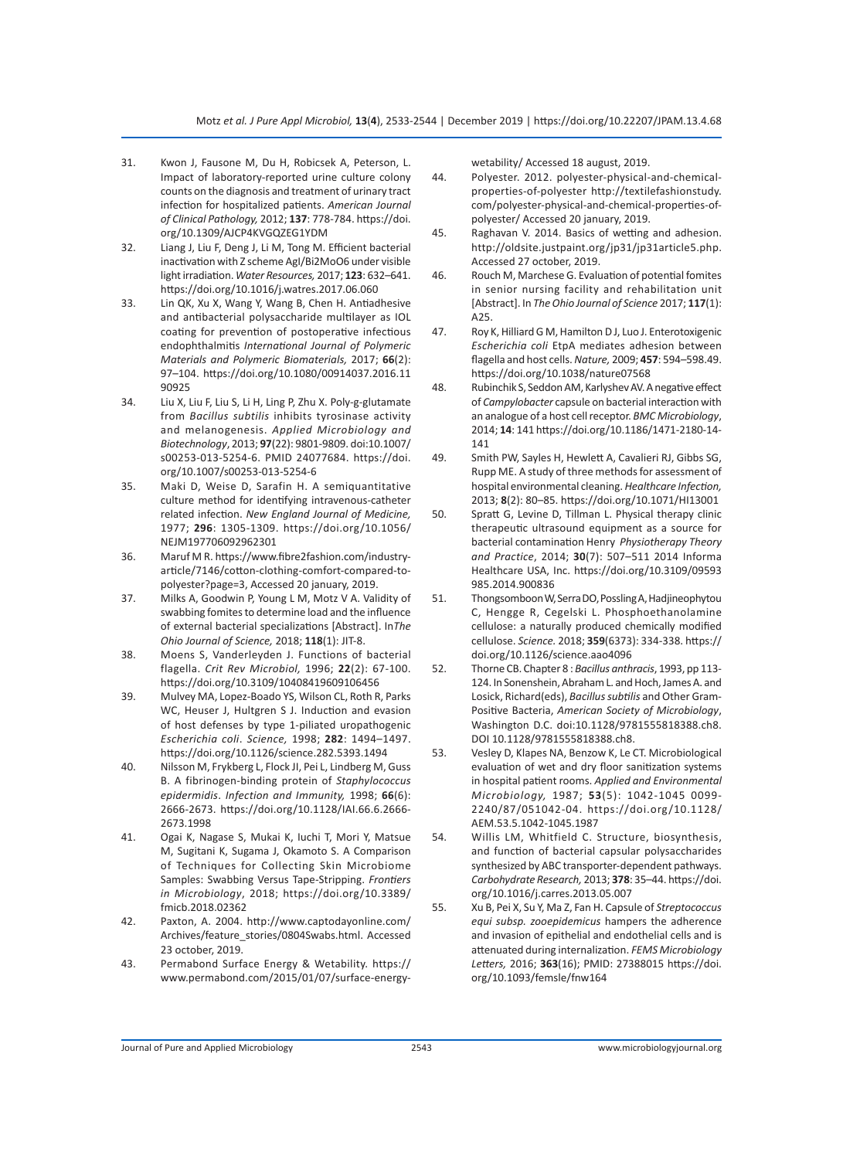- 31. Kwon J, Fausone M, Du H, Robicsek A, Peterson, L. Impact of laboratory-reported urine culture colony counts on the diagnosis and treatment of urinary tract infection for hospitalized patients. *American Journal of Clinical Pathology,* 2012; **137**: 778-784. https://doi. org/10.1309/AJCP4KVGQZEG1YDM
- 32. Liang J, Liu F, Deng J, Li M, Tong M. Efficient bacterial inactivation with Z scheme AgI/Bi2MoO6 under visible light irradiation. *Water Resources,* 2017; **123**: 632–641. https://doi.org/10.1016/j.watres.2017.06.060
- 33. Lin QK, Xu X, Wang Y, Wang B, Chen H. Antiadhesive and antibacterial polysaccharide multilayer as IOL coating for prevention of postoperative infectious endophthalmitis *International Journal of Polymeric Materials and Polymeric Biomaterials,* 2017; **66**(2): 97–104. https://doi.org/10.1080/00914037.2016.11 90925
- 34. Liu X, Liu F, Liu S, Li H, Ling P, Zhu X. Poly-g-glutamate from *Bacillus subtilis* inhibits tyrosinase activity and melanogenesis. *Applied Microbiology and Biotechnology*, 2013; **97**(22): 9801-9809. doi:10.1007/ s00253-013-5254-6. PMID 24077684. https://doi. org/10.1007/s00253-013-5254-6
- 35. Maki D, Weise D, Sarafin H. A semiquantitative culture method for identifying intravenous-catheter related infection. *New England Journal of Medicine,*  1977; **296**: 1305-1309. https://doi.org/10.1056/ NEJM197706092962301
- 36. Maruf M R. https://www.fibre2fashion.com/industryarticle/7146/cotton-clothing-comfort-compared-topolyester?page=3, Accessed 20 january, 2019.
- 37. Milks A, Goodwin P, Young L M, Motz V A. Validity of swabbing fomites to determine load and the influence of external bacterial specializations [Abstract]. In*The Ohio Journal of Science,* 2018; **118**(1): JIT-8.
- 38. Moens S, Vanderleyden J. Functions of bacterial flagella. *Crit Rev Microbiol,* 1996; **22**(2): 67-100. https://doi.org/10.3109/10408419609106456
- 39. Mulvey MA, Lopez-Boado YS, Wilson CL, Roth R, Parks WC, Heuser J, Hultgren S J. Induction and evasion of host defenses by type 1-piliated uropathogenic *Escherichia coli*. *Science,* 1998; **282**: 1494–1497. https://doi.org/10.1126/science.282.5393.1494
- 40. Nilsson M, Frykberg L, Flock JI, Pei L, Lindberg M, Guss B. A fibrinogen-binding protein of *Staphylococcus epidermidis*. *Infection and Immunity,* 1998; **66**(6): 2666-2673. https://doi.org/10.1128/IAI.66.6.2666- 2673.1998
- 41. Ogai K, Nagase S, Mukai K, Iuchi T, Mori Y, Matsue M, Sugitani K, Sugama J, Okamoto S. A Comparison of Techniques for Collecting Skin Microbiome Samples: Swabbing Versus Tape-Stripping. *Frontiers in Microbiology*, 2018; https://doi.org/10.3389/ fmicb.2018.02362
- 42. Paxton, A. 2004. http://www.captodayonline.com/ Archives/feature\_stories/0804Swabs.html. Accessed 23 october, 2019.
- 43. Permabond Surface Energy & Wetability. https:// www.permabond.com/2015/01/07/surface-energy-

wetability/ Accessed 18 august, 2019.

- 44. Polyester. 2012. polyester-physical-and-chemicalproperties-of-polyester http://textilefashionstudy. com/polyester-physical-and-chemical-properties-ofpolyester/ Accessed 20 january, 2019.
- 45. Raghavan V. 2014. Basics of wetting and adhesion. http://oldsite.justpaint.org/jp31/jp31article5.php. Accessed 27 october, 2019.
- 46. Rouch M, Marchese G. Evaluation of potential fomites in senior nursing facility and rehabilitation unit [Abstract]. In *The Ohio Journal of Science* 2017; **117**(1): A25.
- 47. Roy K, Hilliard G M, Hamilton D J, Luo J. Enterotoxigenic *Escherichia coli* EtpA mediates adhesion between flagella and host cells. *Nature,* 2009; **457**: 594–598.49. https://doi.org/10.1038/nature07568
- 48. Rubinchik S, Seddon AM, Karlyshev AV. A negative effect of *Campylobacter* capsule on bacterial interaction with an analogue of a host cell receptor. *BMC Microbiology*, 2014; **14**: 141 https://doi.org/10.1186/1471-2180-14- 141
- 49. Smith PW, Sayles H, Hewlett A, Cavalieri RJ, Gibbs SG, Rupp ME. A study of three methods for assessment of hospital environmental cleaning. *Healthcare Infection,* 2013; **8**(2): 80–85. https://doi.org/10.1071/HI13001
- 50. Spratt G, Levine D, Tillman L. Physical therapy clinic therapeutic ultrasound equipment as a source for bacterial contamination Henry *Physiotherapy Theory and Practice*, 2014; **30**(7): 507–511 2014 Informa Healthcare USA, Inc. https://doi.org/10.3109/09593 985.2014.900836
- 51. Thongsomboon W,Serra DO,Possling A,Hadjineophytou C, Hengge R, Cegelski L. Phosphoethanolamine cellulose: a naturally produced chemically modified cellulose. *Science.* 2018; **359**(6373): 334-338. https:// doi.org/10.1126/science.aao4096
- 52. Thorne CB. Chapter 8 : *Bacillus anthracis*, 1993, pp 113- 124. In Sonenshein, Abraham L. and Hoch, James A. and Losick, Richard(eds), *Bacillus subtilis* and Other Gram-Positive Bacteria, *American Society of Microbiology*, Washington D.C. doi:10.1128/9781555818388.ch8. DOI 10.1128/9781555818388.ch8.
- 53. Vesley D, Klapes NA, Benzow K, Le CT. Microbiological evaluation of wet and dry floor sanitization systems in hospital patient rooms. *Applied and Environmental Microbiology,* 1987; **53**(5): 1042-1045 0099- 2240/87/051042-04. https://doi.org/10.1128/ AEM.53.5.1042-1045.1987
- 54. Willis LM, Whitfield C. Structure, biosynthesis, and function of bacterial capsular polysaccharides synthesized by ABC transporter-dependent pathways. *Carbohydrate Research,* 2013; **378**: 35–44. https://doi. org/10.1016/j.carres.2013.05.007
- 55. Xu B, Pei X, Su Y, Ma Z, Fan H. Capsule of *Streptococcus equi subsp. zooepidemicus* hampers the adherence and invasion of epithelial and endothelial cells and is attenuated during internalization. *FEMS Microbiology Letters,* 2016; **363**(16); PMID: 27388015 https://doi. org/10.1093/femsle/fnw164